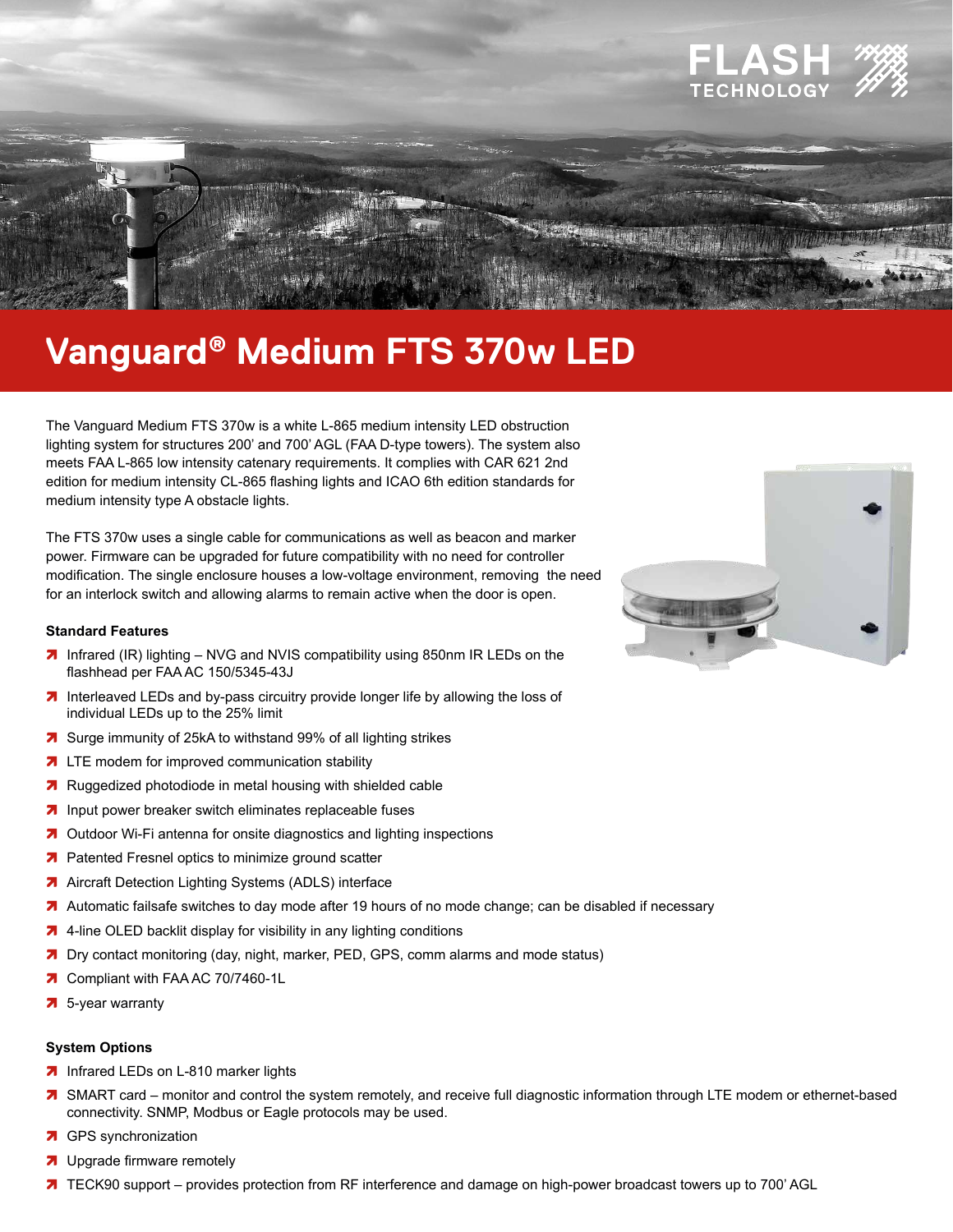

# Vanguard® Medium FTS 370w LED

The Vanguard Medium FTS 370w is a white L-865 medium intensity LED obstruction lighting system for structures 200' and 700' AGL (FAA D-type towers). The system also meets FAA L-865 low intensity catenary requirements. It complies with CAR 621 2nd edition for medium intensity CL-865 flashing lights and ICAO 6th edition standards for medium intensity type A obstacle lights.

The FTS 370w uses a single cable for communications as well as beacon and marker power. Firmware can be upgraded for future compatibility with no need for controller modification. The single enclosure houses a low-voltage environment, removing the need for an interlock switch and allowing alarms to remain active when the door is open.

### **Standard Features**

- 7 Infrared (IR) lighting NVG and NVIS compatibility using 850nm IR LEDs on the flashhead per FAA AC 150/5345-43J
- 7 Interleaved LEDs and by-pass circuitry provide longer life by allowing the loss of individual LEDs up to the 25% limit
- 7 Surge immunity of 25kA to withstand 99% of all lighting strikes
- 7 LTE modem for improved communication stability
- 7 Ruggedized photodiode in metal housing with shielded cable
- 7 Input power breaker switch eliminates replaceable fuses
- 7 Outdoor Wi-Fi antenna for onsite diagnostics and lighting inspections
- 7 Patented Fresnel optics to minimize ground scatter
- 7 Aircraft Detection Lighting Systems (ADLS) interface
- 7 Automatic failsafe switches to day mode after 19 hours of no mode change; can be disabled if necessary
- 7 4-line OLED backlit display for visibility in any lighting conditions
- 7 Dry contact monitoring (day, night, marker, PED, GPS, comm alarms and mode status)
- 7 Compliant with FAA AC 70/7460-1L
- $\overline{7}$  5-year warranty

### **System Options**

- 7 Infrared LEDs on L-810 marker lights
- 7 SMART card monitor and control the system remotely, and receive full diagnostic information through LTE modem or ethernet-based connectivity. SNMP, Modbus or Eagle protocols may be used.
- 7 GPS synchronization
- 7 Upgrade firmware remotely
- 7 TECK90 support provides protection from RF interference and damage on high-power broadcast towers up to 700' AGL